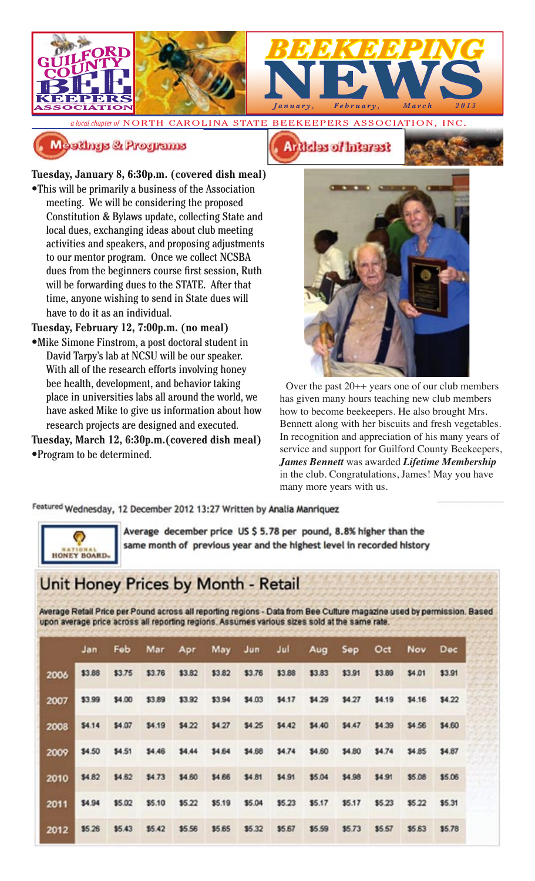

*a local chapter of* NORTH CAROLINA STATE BEEKEEPERS ASSOCIATION, INC.

### Meetings & Programs

**Tuesday, January 8, 6:30p.m. (covered dish meal)** •This will be primarily a business of the Association meeting. We will be considering the proposed Constitution & Bylaws update, collecting State and local dues, exchanging ideas about club meeting activities and speakers, and proposing adjustments to our mentor program. Once we collect NCSBA dues from the beginners course first session, Ruth will be forwarding dues to the STATE. After that time, anyone wishing to send in State dues will have to do it as an individual.

**Tuesday, February 12, 7:00p.m. (no meal)** •Mike Simone Finstrom, a post doctoral student in David Tarpy's lab at NCSU will be our speaker. With all of the research efforts involving honey bee health, development, and behavior taking place in universities labs all around the world, we have asked Mike to give us information about how research projects are designed and executed.

**Tuesday, March 12, 6:30p.m.(covered dish meal)** *•*Program to be determined.







Over the past 20++ years one of our club members has given many hours teaching new club members how to become beekeepers. He also brought Mrs. Bennett along with her biscuits and fresh vegetables. In recognition and appreciation of his many years of service and support for Guilford County Beekeepers, *James Bennett* was awarded *Lifetime Membership* in the club. Congratulations, James! May you have many more years with us.

Featured Wednesday, 12 December 2012 13:27 Written by Analia Manriquez



Average december price US \$ 5.78 per pound, 8.8% higher than the same month of previous year and the highest level in recorded history

# Unit Honey Prices by Month - Retail

Average Retail Price per Pound across all reporting regions - Data from Bee Culture magazine used by permission. Based upon average price across all reporting regions. Assumes various sizes sold at the same rate.

|      | Jan    | Fob    | Mar    | Apr    |        | May Jun Jul |        | Aug    | Sep    | Oct    | Nov Dec |        |
|------|--------|--------|--------|--------|--------|-------------|--------|--------|--------|--------|---------|--------|
| 2006 | \$3.88 | \$3.75 | \$3.76 | \$3.82 | \$3.82 | \$3.76      | \$3.88 | \$3.83 | \$3.91 | \$3.89 | \$4.01  | \$3.91 |
| 2007 | \$3.99 | \$4.00 | \$3.89 | \$3.92 | \$3.94 | \$4.03      | \$4.17 | \$4.29 | \$4.27 | \$4.19 | \$4.16  | \$4.22 |
| 2008 | \$4.14 | \$4.07 | \$4.19 | \$4.22 | \$4.27 | \$4.25      | \$4,42 | \$4.40 | \$4,47 | \$4.39 | \$4.56  | \$4.60 |
| 2009 | \$4.50 | \$4.51 | \$4.46 | \$4.44 | \$4.64 | \$4.68      | \$4.74 | \$4.60 | \$4.80 | \$4.74 | \$4.85  | \$4.87 |
| 2010 | \$4.82 | \$4.62 | \$4.73 | \$4.60 | \$4.66 | \$4.81      | \$4.91 | \$5.04 | \$4.98 | \$4.91 | \$5.08  | \$5.06 |
| 2011 | \$4.94 | \$5.02 | \$5.10 | \$5.22 | \$5.19 | \$5.04      | \$5.23 | \$5.17 | \$5.17 | \$5.23 | \$5.22  | \$5.31 |
| 2012 | \$5.26 | \$5.43 | \$5.42 | \$5.56 | \$5.65 | \$5.32      | \$5.67 | \$5.59 | \$5.73 | \$5.57 | \$5.63  | \$5.78 |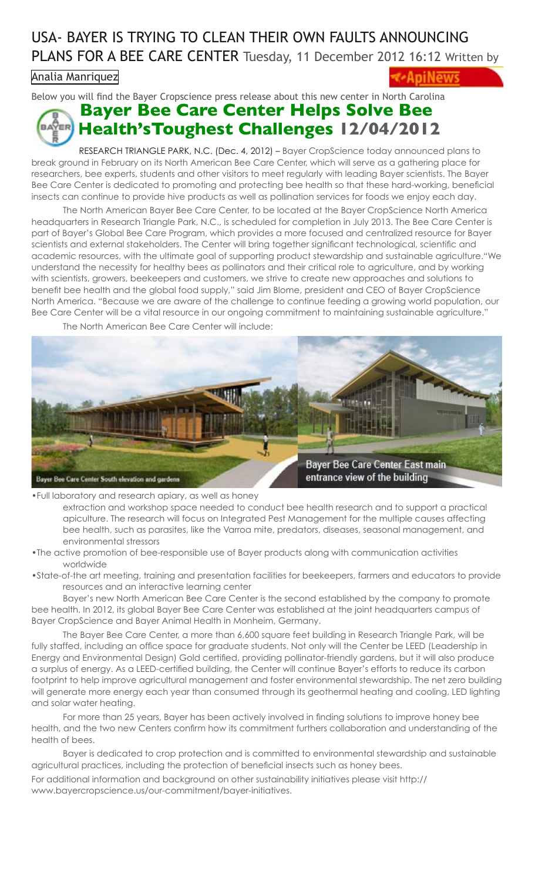# USA- BAYER IS TRYING TO CLEAN THEIR OWN FAULTS ANNOUNCING PLANS FOR A BEE CARE CENTER Tuesday, 11 December 2012 16:12 Written by

[Analia Manriquez](http://www.apinews.com/en/component/k2/itemlist/user/64-analiamanriquez)

BJ

Below you will find the Bayer Cropscience press release about this new center in North Carolina

# **Bayer Bee Care Center Helps Solve Bee Health'sToughest Challenges 12/04/2012**

RESEARCH TRIANGLE PARK, N.C. (Dec. 4, 2012) – Bayer CropScience today announced plans to break ground in February on its North American Bee Care Center, which will serve as a gathering place for researchers, bee experts, students and other visitors to meet regularly with leading Bayer scientists. The Bayer Bee Care Center is dedicated to promoting and protecting bee health so that these hard-working, beneficial insects can continue to provide hive products as well as pollination services for foods we enjoy each day.

The North American Bayer Bee Care Center, to be located at the Bayer CropScience North America headquarters in Research Triangle Park, N.C., is scheduled for completion in July 2013. The Bee Care Center is part of Bayer's Global Bee Care Program, which provides a more focused and centralized resource for Bayer scientists and external stakeholders. The Center will bring together significant technological, scientific and academic resources, with the ultimate goal of supporting product stewardship and sustainable agriculture."We understand the necessity for healthy bees as pollinators and their critical role to agriculture, and by working with scientists, growers, beekeepers and customers, we strive to create new approaches and solutions to benefit bee health and the global food supply," said Jim Blome, president and CEO of Bayer CropScience North America. "Because we are aware of the challenge to continue feeding a growing world population, our Bee Care Center will be a vital resource in our ongoing commitment to maintaining sustainable agriculture."

The North American Bee Care Center will include:



•Full laboratory and research apiary, as well as honey

extraction and workshop space needed to conduct bee health research and to support a practical apiculture. The research will focus on Integrated Pest Management for the multiple causes affecting bee health, such as parasites, like the Varroa mite, predators, diseases, seasonal management, and environmental stressors

- •The active promotion of bee-responsible use of Bayer products along with communication activities worldwide
- •State-of-the art meeting, training and presentation facilities for beekeepers, farmers and educators to provide resources and an interactive learning center

Bayer's new North American Bee Care Center is the second established by the company to promote bee health. In 2012, its global Bayer Bee Care Center was established at the joint headquarters campus of Bayer CropScience and Bayer Animal Health in Monheim, Germany.

The Bayer Bee Care Center, a more than 6,600 square feet building in Research Triangle Park, will be fully staffed, including an office space for graduate students. Not only will the Center be LEED (Leadership in Energy and Environmental Design) Gold certified, providing pollinator-friendly gardens, but it will also produce a surplus of energy. As a LEED-certified building, the Center will continue Bayer's efforts to reduce its carbon footprint to help improve agricultural management and foster environmental stewardship. The net zero building will generate more energy each year than consumed through its geothermal heating and cooling, LED lighting and solar water heating.

For more than 25 years, Bayer has been actively involved in finding solutions to improve honey bee health, and the two new Centers confirm how its commitment furthers collaboration and understanding of the health of bees.

Bayer is dedicated to crop protection and is committed to environmental stewardship and sustainable agricultural practices, including the protection of beneficial insects such as honey bees.

For additional information and background on other sustainability initiatives please visit http:// www.bayercropscience.us/our-commitment/bayer-initiatives.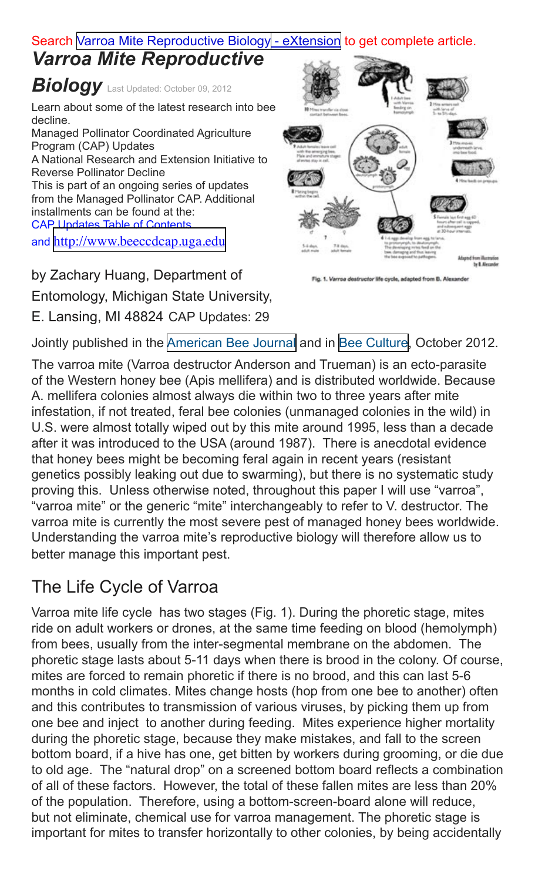### Search [Varroa Mite Reproductive Biology - eXtension](http://www.extension.org/pages/65450/varroa-mite-reproductive-biology) to get complete article.

# *Varroa Mite Reproductive*

**Biology** Last Updated: October 09, 2012

Learn about some of the latest research into bee decline.

Managed Pollinator Coordinated Agriculture Program (CAP) Updates A National Research and Extension Initiative to Reverse Pollinator Decline This is part of an ongoing series of updates from the Managed Pollinator CAP. Additional installments can be found at the: CAP Updates Table of Contents and [http://www.beeccdcap.uga.edu](http://www.beeccdcap.uga.edu/)

by Zachary Huang, Department of Entomology, Michigan State University, E. Lansing, MI 48824 CAP Updates: 29



1. Varroa destructor life cycle, adapted from B. Alex

Jointly published in the [American Bee Journal](http://www.americanbeejournal.com/) and in [Bee Culture](http://www.beeculture.com/), October 2012.

The varroa mite (Varroa destructor Anderson and Trueman) is an ecto-parasite of the Western honey bee (Apis mellifera) and is distributed worldwide. Because A. mellifera colonies almost always die within two to three years after mite infestation, if not treated, feral bee colonies (unmanaged colonies in the wild) in U.S. were almost totally wiped out by this mite around 1995, less than a decade after it was introduced to the USA (around 1987). There is anecdotal evidence that honey bees might be becoming feral again in recent years (resistant genetics possibly leaking out due to swarming), but there is no systematic study proving this. Unless otherwise noted, throughout this paper I will use "varroa", "varroa mite" or the generic "mite" interchangeably to refer to V. destructor. The varroa mite is currently the most severe pest of managed honey bees worldwide. Understanding the varroa mite's reproductive biology will therefore allow us to better manage this important pest.

# The Life Cycle of Varroa

Varroa mite life cycle has two stages (Fig. 1). During the phoretic stage, mites ride on adult workers or drones, at the same time feeding on blood (hemolymph) from bees, usually from the inter-segmental membrane on the abdomen. The phoretic stage lasts about 5-11 days when there is brood in the colony. Of course, mites are forced to remain phoretic if there is no brood, and this can last 5-6 months in cold climates. Mites change hosts (hop from one bee to another) often and this contributes to transmission of various viruses, by picking them up from one bee and inject to another during feeding. Mites experience higher mortality during the phoretic stage, because they make mistakes, and fall to the screen bottom board, if a hive has one, get bitten by workers during grooming, or die due to old age. The "natural drop" on a screened bottom board reflects a combination of all of these factors. However, the total of these fallen mites are less than 20% of the population. Therefore, using a bottom-screen-board alone will reduce, but not eliminate, chemical use for varroa management. The phoretic stage is important for mites to transfer horizontally to other colonies, by being accidentally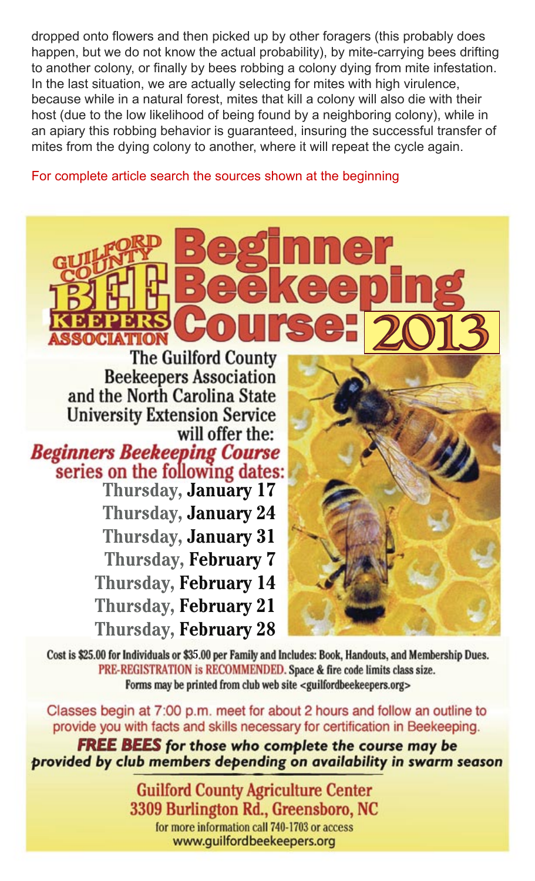dropped onto flowers and then picked up by other foragers (this probably does happen, but we do not know the actual probability), by mite-carrying bees drifting to another colony, or finally by bees robbing a colony dying from mite infestation. In the last situation, we are actually selecting for mites with high virulence, because while in a natural forest, mites that kill a colony will also die with their host (due to the low likelihood of being found by a neighboring colony), while in an apiary this robbing behavior is guaranteed, insuring the successful transfer of mites from the dying colony to another, where it will repeat the cycle again.

For complete article search the sources shown at the beginning

**The Guilford County Beekeepers Association** and the North Carolina State **University Extension Service** will offer the: **Beginners Beekeeping Course** series on the following dates: **Thursday, January 17 Thursday, January 24 Thursday, January 31 Thursday, February 7 Thursday, February 14 Thursday, February 21** 

**Thursday, February 28** 



Cost is \$25.00 for Individuals or \$35.00 per Family and Includes: Book, Handouts, and Membership Dues. PRE-REGISTRATION is RECOMMENDED. Space & fire code limits class size. Forms may be printed from club web site <guilfordbeekeepers.org>

Classes begin at 7:00 p.m. meet for about 2 hours and follow an outline to provide you with facts and skills necessary for certification in Beekeeping.

**FREE BEES** for those who complete the course may be provided by club members depending on availability in swarm season

> **Guilford County Agriculture Center** 3309 Burlington Rd., Greensboro, NC for more information call 740-1703 or access www.guilfordbeekeepers.org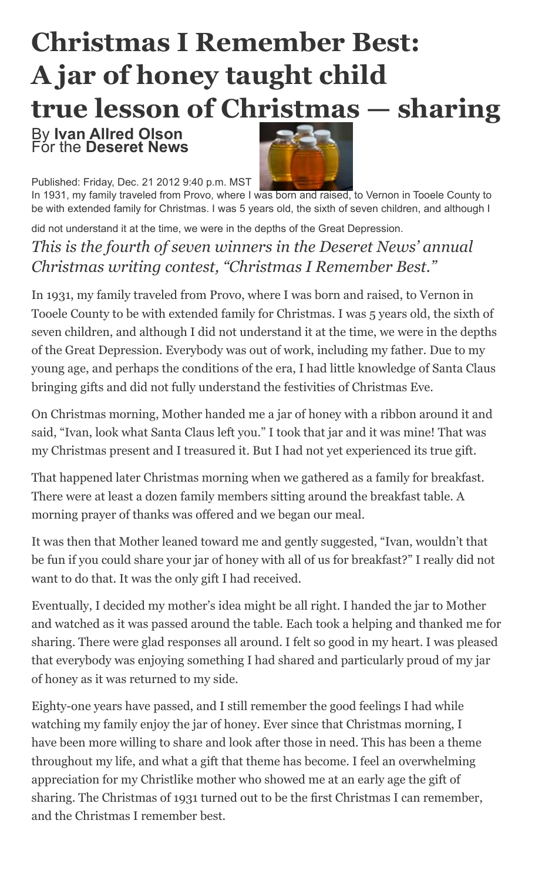# **Christmas I Remember Best: A jar of honey taught child true lesson of Christmas — sharing**

#### By **Ivan Allred Olson** For the **Deseret News**

Published: Friday, Dec. 21 2012 9:40 p.m. MST



In 1931, my family traveled from Provo, where I was born and raised, to Vernon in Tooele County to be with extended family for Christmas. I was 5 years old, the sixth of seven children, and although I

did not understand it at the time, we were in the depths of the Great Depression.

*This is the fourth of seven winners in the Deseret News' annual Christmas writing contest, "Christmas I Remember Best."*

In 1931, my family traveled from Provo, where I was born and raised, to Vernon in Tooele County to be with extended family for Christmas. I was 5 years old, the sixth of seven children, and although I did not understand it at the time, we were in the depths of the Great Depression. Everybody was out of work, including my father. Due to my young age, and perhaps the conditions of the era, I had little knowledge of Santa Claus bringing gifts and did not fully understand the festivities of Christmas Eve.

On Christmas morning, Mother handed me a jar of honey with a ribbon around it and said, "Ivan, look what Santa Claus left you." I took that jar and it was mine! That was my Christmas present and I treasured it. But I had not yet experienced its true gift.

That happened later Christmas morning when we gathered as a family for breakfast. There were at least a dozen family members sitting around the breakfast table. A morning prayer of thanks was offered and we began our meal.

It was then that Mother leaned toward me and gently suggested, "Ivan, wouldn't that be fun if you could share your jar of honey with all of us for breakfast?" I really did not want to do that. It was the only gift I had received.

Eventually, I decided my mother's idea might be all right. I handed the jar to Mother and watched as it was passed around the table. Each took a helping and thanked me for sharing. There were glad responses all around. I felt so good in my heart. I was pleased that everybody was enjoying something I had shared and particularly proud of my jar of honey as it was returned to my side.

Eighty-one years have passed, and I still remember the good feelings I had while watching my family enjoy the jar of honey. Ever since that Christmas morning, I have been more willing to share and look after those in need. This has been a theme throughout my life, and what a gift that theme has become. I feel an overwhelming appreciation for my Christlike mother who showed me at an early age the gift of sharing. The Christmas of 1931 turned out to be the first Christmas I can remember, and the Christmas I remember best.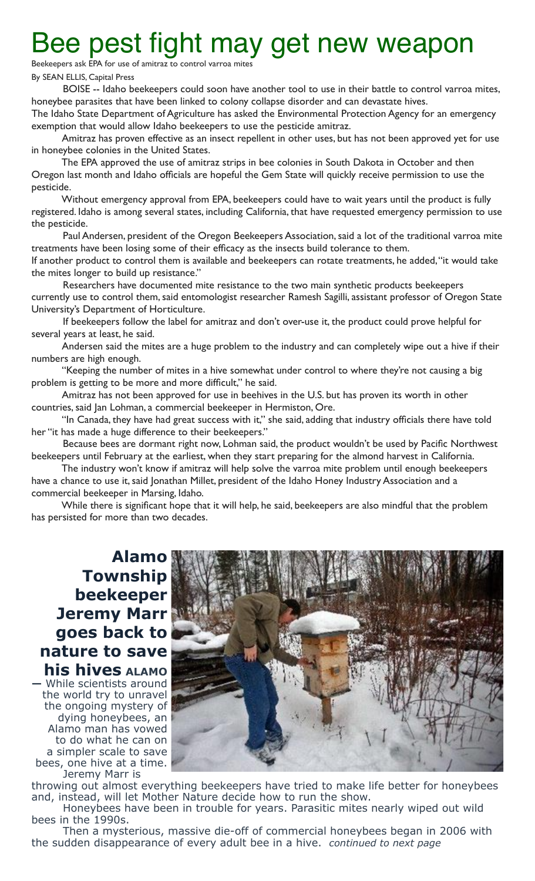# Bee pest fight may get new weapon

Beekeepers ask EPA for use of amitraz to control varroa mite

By SEAN ELLIS, Capital Press

BOISE -- Idaho beekeepers could soon have another tool to use in their battle to control varroa mites, honeybee parasites that have been linked to colony collapse disorder and can devastate hives.

The Idaho State Department of Agriculture has asked the Environmental Protection Agency for an emergency exemption that would allow Idaho beekeepers to use the pesticide amitraz.

Amitraz has proven effective as an insect repellent in other uses, but has not been approved yet for use in honeybee colonies in the United States.

The EPA approved the use of amitraz strips in bee colonies in South Dakota in October and then Oregon last month and Idaho officials are hopeful the Gem State will quickly receive permission to use the pesticide.

Without emergency approval from EPA, beekeepers could have to wait years until the product is fully registered. Idaho is among several states, including California, that have requested emergency permission to use the pesticide.

Paul Andersen, president of the Oregon Beekeepers Association, said a lot of the traditional varroa mite treatments have been losing some of their efficacy as the insects build tolerance to them.

If another product to control them is available and beekeepers can rotate treatments, he added, "it would take the mites longer to build up resistance."

Researchers have documented mite resistance to the two main synthetic products beekeepers currently use to control them, said entomologist researcher Ramesh Sagilli, assistant professor of Oregon State University's Department of Horticulture.

If beekeepers follow the label for amitraz and don't over-use it, the product could prove helpful for several years at least, he said.

Andersen said the mites are a huge problem to the industry and can completely wipe out a hive if their numbers are high enough.

"Keeping the number of mites in a hive somewhat under control to where they're not causing a big problem is getting to be more and more difficult," he said.

Amitraz has not been approved for use in beehives in the U.S. but has proven its worth in other countries, said Jan Lohman, a commercial beekeeper in Hermiston, Ore.

"In Canada, they have had great success with it," she said, adding that industry officials there have told her "it has made a huge difference to their beekeepers."

Because bees are dormant right now, Lohman said, the product wouldn't be used by Pacific Northwest beekeepers until February at the earliest, when they start preparing for the almond harvest in California.

The industry won't know if amitraz will help solve the varroa mite problem until enough beekeepers have a chance to use it, said Jonathan Millet, president of the Idaho Honey Industry Association and a commercial beekeeper in Marsing, Idaho.

While there is significant hope that it will help, he said, beekeepers are also mindful that the problem has persisted for more than two decades.

### **Alamo Township beekeeper Jeremy Marr goes back to nature to save his hives ALAMO**

**—** While scientists around the world try to unravel the ongoing mystery of dying honeybees, an Alamo man has vowed to do what he can on a simpler scale to save bees, one hive at a time. Jeremy Marr is



throwing out almost everything beekeepers have tried to make life better for honeybees and, instead, will let Mother Nature decide how to run the show.

Honeybees have been in trouble for years. Parasitic mites nearly wiped out wild bees in the 1990s.

Then a mysterious, massive die-off of commercial honeybees began in 2006 with the sudden disappearance of every adult bee in a hive. *continued to next page*